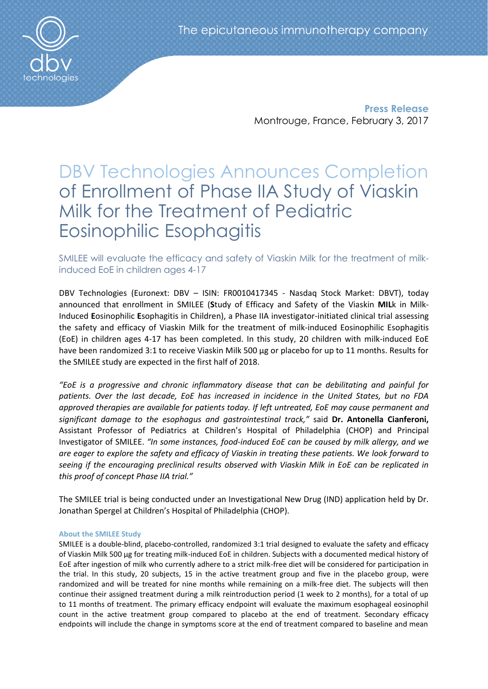

**Press Release** Montrouge, France, February 3, 2017

# DBV Technologies Announces Completion of Enrollment of Phase IIA Study of Viaskin Milk for the Treatment of Pediatric Eosinophilic Esophagitis

## SMILEE will evaluate the efficacy and safety of Viaskin Milk for the treatment of milkinduced EoE in children ages 4-17

DBV Technologies (Euronext: DBV – ISIN: FR0010417345 - Nasdaq Stock Market: DBVT), today announced that enrollment in SMILEE (**S**tudy of Efficacy and Safety of the Viaskin **MIL**k in Milk-Induced **E**osinophilic **E**sophagitis in Children), a Phase IIA investigator-initiated clinical trial assessing the safety and efficacy of Viaskin Milk for the treatment of milk-induced Eosinophilic Esophagitis (EoE) in children ages 4-17 has been completed. In this study, 20 children with milk-induced EoE have been randomized 3:1 to receive Viaskin Milk 500 µg or placebo for up to 11 months. Results for the SMILEE study are expected in the first half of 2018.

*"EoE is a progressive and chronic inflammatory disease that can be debilitating and painful for patients. Over the last decade, EoE has increased in incidence in the United States, but no FDA approved therapies are available for patients today. If left untreated, EoE may cause permanent and significant damage to the esophagus and gastrointestinal track,"* said **Dr. Antonella Cianferoni,**  Assistant Professor of Pediatrics at Children's Hospital of Philadelphia (CHOP) and Principal Investigator of SMILEE. *"In some instances, food-induced EoE can be caused by milk allergy, and we are eager to explore the safety and efficacy of Viaskin in treating these patients. We look forward to seeing if the encouraging preclinical results observed with Viaskin Milk in EoE can be replicated in this proof of concept Phase IIA trial."* 

The SMILEE trial is being conducted under an Investigational New Drug (IND) application held by Dr. Jonathan Spergel at Children's Hospital of Philadelphia (CHOP).

### **About the SMILEE Study**

SMILEE is a double-blind, placebo-controlled, randomized 3:1 trial designed to evaluate the safety and efficacy of Viaskin Milk 500 μg for treating milk-induced EoE in children. Subjects with a documented medical history of EoE after ingestion of milk who currently adhere to a strict milk-free diet will be considered for participation in the trial. In this study, 20 subjects, 15 in the active treatment group and five in the placebo group, were randomized and will be treated for nine months while remaining on a milk-free diet. The subjects will then continue their assigned treatment during a milk reintroduction period (1 week to 2 months), for a total of up to 11 months of treatment. The primary efficacy endpoint will evaluate the maximum esophageal eosinophil count in the active treatment group compared to placebo at the end of treatment. Secondary efficacy endpoints will include the change in symptoms score at the end of treatment compared to baseline and mean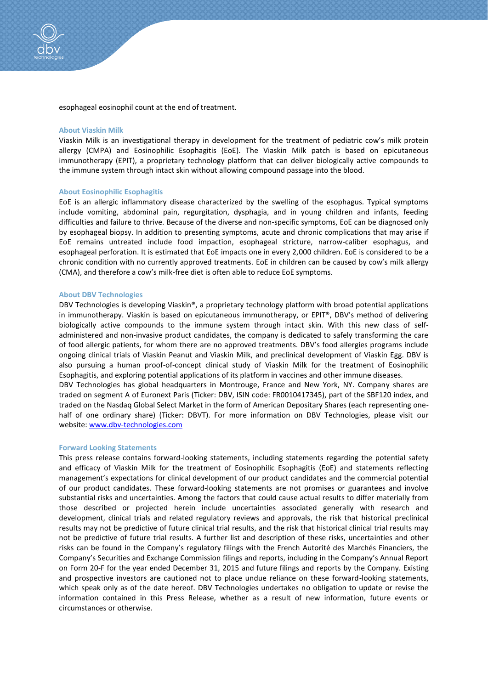esophageal eosinophil count at the end of treatment.

#### **About Viaskin Milk**

Viaskin Milk is an investigational therapy in development for the treatment of pediatric cow's milk protein allergy (CMPA) and Eosinophilic Esophagitis (EoE). The Viaskin Milk patch is based on epicutaneous immunotherapy (EPIT), a proprietary technology platform that can deliver biologically active compounds to the immune system through intact skin without allowing compound passage into the blood.

#### **About Eosinophilic Esophagitis**

EoE is an allergic inflammatory disease characterized by the swelling of the esophagus. Typical symptoms include vomiting, abdominal pain, regurgitation, dysphagia, and in young children and infants, feeding difficulties and failure to thrive. Because of the diverse and non-specific symptoms, EoE can be diagnosed only by esophageal biopsy. In addition to presenting symptoms, acute and chronic complications that may arise if EoE remains untreated include food impaction, esophageal stricture, narrow-caliber esophagus, and esophageal perforation. It is estimated that EoE impacts one in every 2,000 children. EoE is considered to be a chronic condition with no currently approved treatments. EoE in children can be caused by cow's milk allergy (CMA), and therefore a cow's milk-free diet is often able to reduce EoE symptoms.

#### **About DBV Technologies**

DBV Technologies is developing Viaskin®, a proprietary technology platform with broad potential applications in immunotherapy. Viaskin is based on epicutaneous immunotherapy, or EPIT®, DBV's method of delivering biologically active compounds to the immune system through intact skin. With this new class of selfadministered and non-invasive product candidates, the company is dedicated to safely transforming the care of food allergic patients, for whom there are no approved treatments. DBV's food allergies programs include ongoing clinical trials of Viaskin Peanut and Viaskin Milk, and preclinical development of Viaskin Egg. DBV is also pursuing a human proof-of-concept clinical study of Viaskin Milk for the treatment of Eosinophilic Esophagitis, and exploring potential applications of its platform in vaccines and other immune diseases.

DBV Technologies has global headquarters in Montrouge, France and New York, NY. Company shares are traded on segment A of Euronext Paris (Ticker: DBV, ISIN code: FR0010417345), part of the SBF120 index, and traded on the Nasdaq Global Select Market in the form of American Depositary Shares (each representing onehalf of one ordinary share) (Ticker: DBVT). For more information on DBV Technologies, please visit our website: [www.dbv-technologies.com](http://www.dbv-technologies.com/)

#### **Forward Looking Statements**

This press release contains forward-looking statements, including statements regarding the potential safety and efficacy of Viaskin Milk for the treatment of Eosinophilic Esophagitis (EoE) and statements reflecting management's expectations for clinical development of our product candidates and the commercial potential of our product candidates. These forward-looking statements are not promises or guarantees and involve substantial risks and uncertainties. Among the factors that could cause actual results to differ materially from those described or projected herein include uncertainties associated generally with research and development, clinical trials and related regulatory reviews and approvals, the risk that historical preclinical results may not be predictive of future clinical trial results, and the risk that historical clinical trial results may not be predictive of future trial results. A further list and description of these risks, uncertainties and other risks can be found in the Company's regulatory filings with the French Autorité des Marchés Financiers, the Company's Securities and Exchange Commission filings and reports, including in the Company's Annual Report on Form 20-F for the year ended December 31, 2015 and future filings and reports by the Company. Existing and prospective investors are cautioned not to place undue reliance on these forward-looking statements, which speak only as of the date hereof. DBV Technologies undertakes no obligation to update or revise the information contained in this Press Release, whether as a result of new information, future events or circumstances or otherwise.